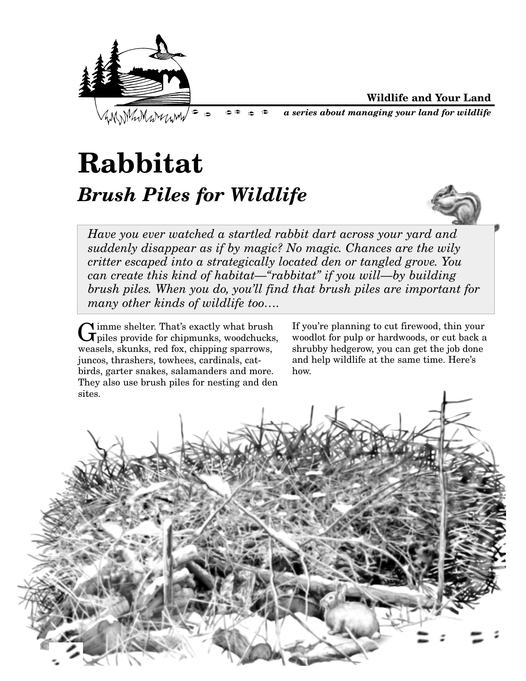

**Wildlife and Your Land**

*a series about managing your land for wildlife*

## **Rabbitat** *Brush Piles for Wildlife*



*Have you ever watched a startled rabbit dart across your yard and suddenly disappear as if by magic? No magic. Chances are the wily critter escaped into a strategically located den or tangled grove. You can create this kind of habitat—"rabbitat" if you will—by building brush piles. When you do, you'll find that brush piles are important for many other kinds of wildlife too….*

Gimme shelter. That's exactly what brush  $G$  piles provide for chipmunks, woodchucks, weasels, skunks, red fox, chipping sparrows, juncos, thrashers, towhees, cardinals, catbirds, garter snakes, salamanders and more. They also use brush piles for nesting and den sites.

If you're planning to cut firewood, thin your woodlot for pulp or hardwoods, or cut back a shrubby hedgerow, you can get the job done and help wildlife at the same time. Here's how.

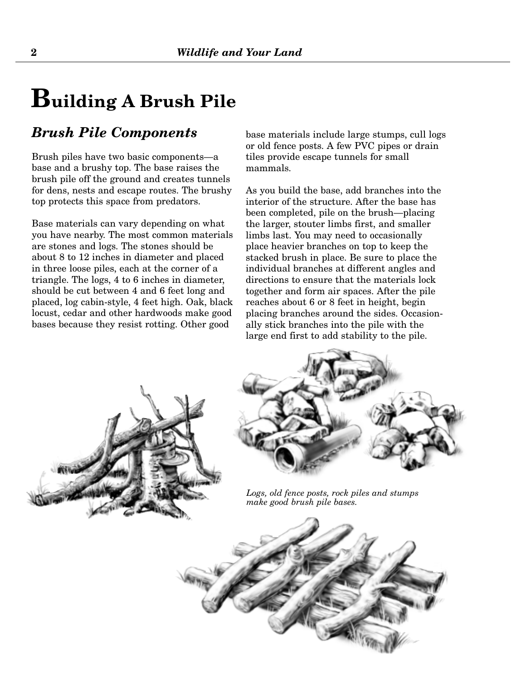### **Building A Brush Pile**

#### *Brush Pile Components*

Brush piles have two basic components—a base and a brushy top. The base raises the brush pile off the ground and creates tunnels for dens, nests and escape routes. The brushy top protects this space from predators.

Base materials can vary depending on what you have nearby. The most common materials are stones and logs. The stones should be about 8 to 12 inches in diameter and placed in three loose piles, each at the corner of a triangle. The logs, 4 to 6 inches in diameter, should be cut between 4 and 6 feet long and placed, log cabin-style, 4 feet high. Oak, black locust, cedar and other hardwoods make good bases because they resist rotting. Other good

base materials include large stumps, cull logs or old fence posts. A few PVC pipes or drain tiles provide escape tunnels for small mammals.

As you build the base, add branches into the interior of the structure. After the base has been completed, pile on the brush—placing the larger, stouter limbs first, and smaller limbs last. You may need to occasionally place heavier branches on top to keep the stacked brush in place. Be sure to place the individual branches at different angles and directions to ensure that the materials lock together and form air spaces. After the pile reaches about 6 or 8 feet in height, begin placing branches around the sides. Occasionally stick branches into the pile with the large end first to add stability to the pile.





*Logs, old fence posts, rock piles and stumps make good brush pile bases.*

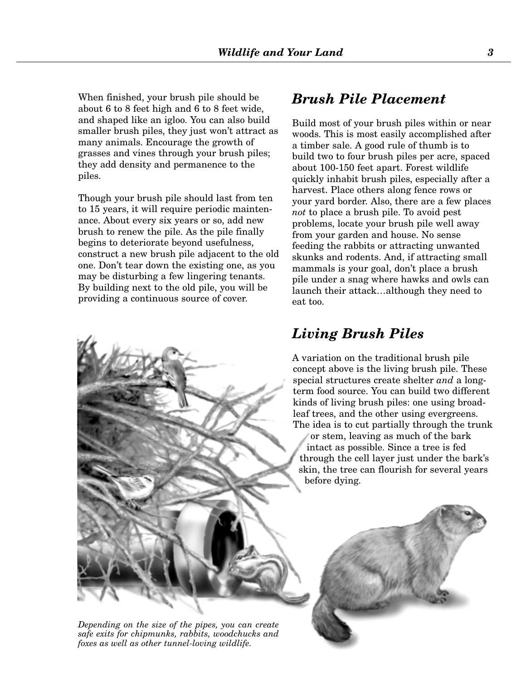When finished, your brush pile should be about 6 to 8 feet high and 6 to 8 feet wide, and shaped like an igloo. You can also build smaller brush piles, they just won't attract as many animals. Encourage the growth of grasses and vines through your brush piles; they add density and permanence to the piles.

Though your brush pile should last from ten to 15 years, it will require periodic maintenance. About every six years or so, add new brush to renew the pile. As the pile finally begins to deteriorate beyond usefulness, construct a new brush pile adjacent to the old one. Don't tear down the existing one, as you may be disturbing a few lingering tenants. By building next to the old pile, you will be providing a continuous source of cover.

#### *Brush Pile Placement*

Build most of your brush piles within or near woods. This is most easily accomplished after a timber sale. A good rule of thumb is to build two to four brush piles per acre, spaced about 100-150 feet apart. Forest wildlife quickly inhabit brush piles, especially after a harvest. Place others along fence rows or your yard border. Also, there are a few places *not* to place a brush pile. To avoid pest problems, locate your brush pile well away from your garden and house. No sense feeding the rabbits or attracting unwanted skunks and rodents. And, if attracting small mammals is your goal, don't place a brush pile under a snag where hawks and owls can launch their attack…although they need to eat too.

#### *Living Brush Piles*

A variation on the traditional brush pile concept above is the living brush pile. These special structures create shelter *and* a longterm food source. You can build two different kinds of living brush piles: one using broadleaf trees, and the other using evergreens. The idea is to cut partially through the trunk or stem, leaving as much of the bark intact as possible. Since a tree is fed through the cell layer just under the bark's skin, the tree can flourish for several years before dying.



*Depending on the size of the pipes, you can create safe exits for chipmunks, rabbits, woodchucks and foxes as well as other tunnel-loving wildlife.*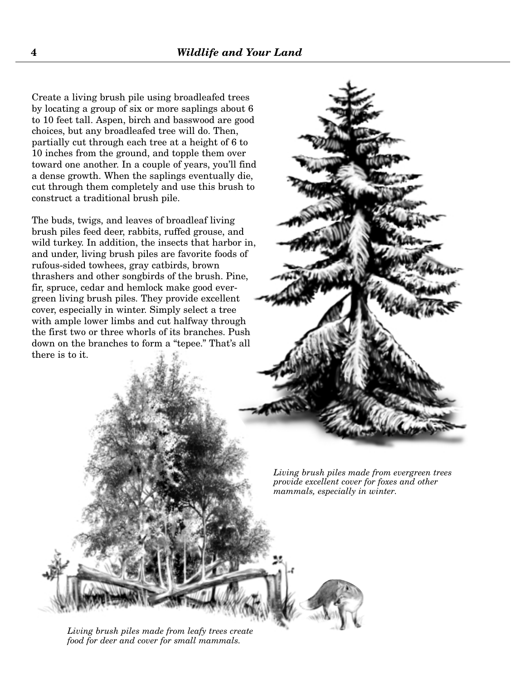Create a living brush pile using broadleafed trees by locating a group of six or more saplings about 6 to 10 feet tall. Aspen, birch and basswood are good choices, but any broadleafed tree will do. Then, partially cut through each tree at a height of 6 to 10 inches from the ground, and topple them over toward one another. In a couple of years, you'll find a dense growth. When the saplings eventually die, cut through them completely and use this brush to construct a traditional brush pile.

The buds, twigs, and leaves of broadleaf living brush piles feed deer, rabbits, ruffed grouse, and wild turkey. In addition, the insects that harbor in, and under, living brush piles are favorite foods of rufous-sided towhees, gray catbirds, brown thrashers and other songbirds of the brush. Pine, fir, spruce, cedar and hemlock make good evergreen living brush piles. They provide excellent cover, especially in winter. Simply select a tree with ample lower limbs and cut halfway through the first two or three whorls of its branches. Push down on the branches to form a "tepee." That's all there is to it.



*Living brush piles made from evergreen trees provide excellent cover for foxes and other mammals, especially in winter.*

*Living brush piles made from leafy trees create food for deer and cover for small mammals.*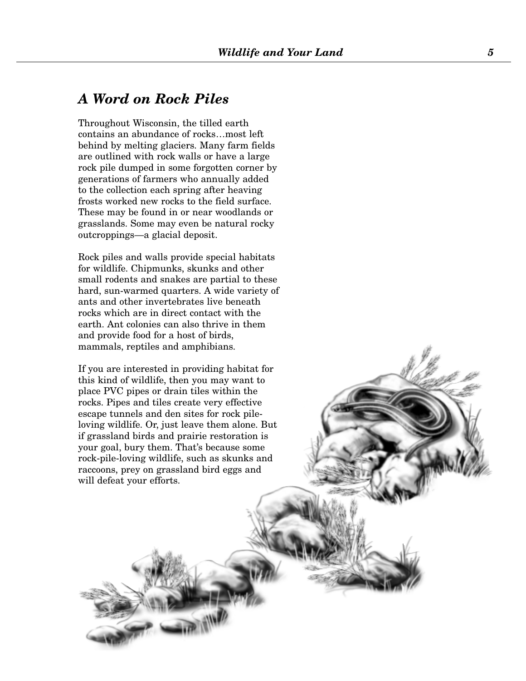#### *A Word on Rock Piles*

Throughout Wisconsin, the tilled earth contains an abundance of rocks…most left behind by melting glaciers. Many farm fields are outlined with rock walls or have a large rock pile dumped in some forgotten corner by generations of farmers who annually added to the collection each spring after heaving frosts worked new rocks to the field surface. These may be found in or near woodlands or grasslands. Some may even be natural rocky outcroppings—a glacial deposit.

Rock piles and walls provide special habitats for wildlife. Chipmunks, skunks and other small rodents and snakes are partial to these hard, sun-warmed quarters. A wide variety of ants and other invertebrates live beneath rocks which are in direct contact with the earth. Ant colonies can also thrive in them and provide food for a host of birds, mammals, reptiles and amphibians.

If you are interested in providing habitat for this kind of wildlife, then you may want to place PVC pipes or drain tiles within the rocks. Pipes and tiles create very effective escape tunnels and den sites for rock pileloving wildlife. Or, just leave them alone. But if grassland birds and prairie restoration is your goal, bury them. That's because some rock-pile-loving wildlife, such as skunks and raccoons, prey on grassland bird eggs and will defeat your efforts.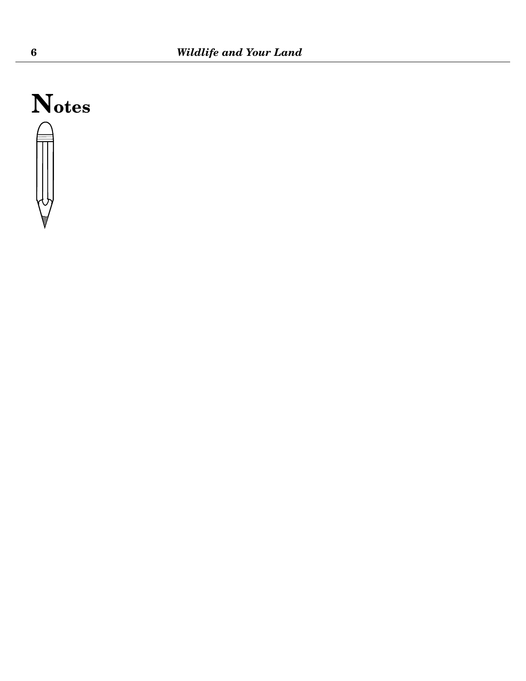# **Notes**

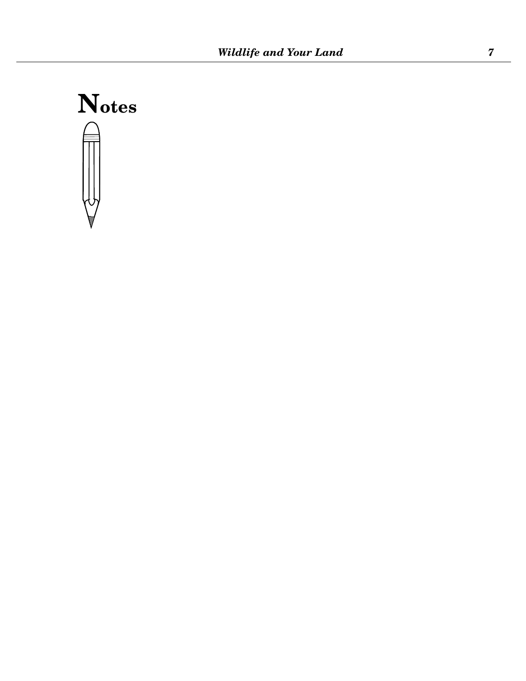